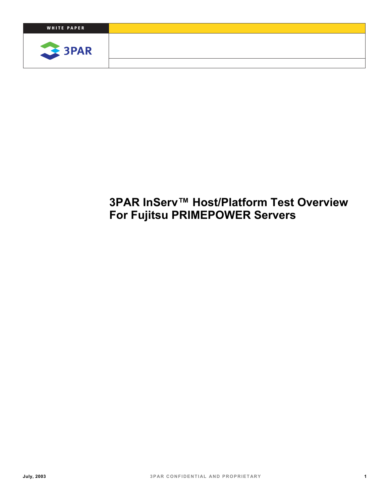

# **3PAR InServ™ Host/Platform Test Overview For Fujitsu PRIMEPOWER Servers**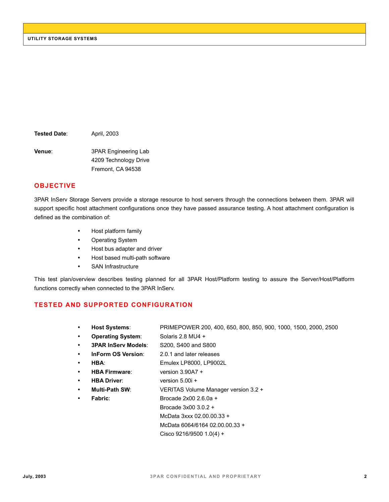**Tested Date**: April, 2003

**Venue:** 3PAR Engineering Lab 4209 Technology Drive Fremont, CA 94538

#### **OBJECTIVE**

3PAR InServ Storage Servers provide a storage resource to host servers through the connections between them. 3PAR will support specific host attachment configurations once they have passed assurance testing. A host attachment configuration is defined as the combination of:

- Host platform family
- Operating System
- Host bus adapter and driver
- Host based multi-path software
- SAN Infrastructure

This test plan/overview describes testing planned for all 3PAR Host/Platform testing to assure the Server/Host/Platform functions correctly when connected to the 3PAR InServ.

#### **TESTED AND SUPPORTED CONFIGURATION**

- **Host Systems**: PRIMEPOWER 200, 400, 650, 800, 850, 900, 1000, 1500, 2000, 2500
- **Operating System**: Solaris 2.8 MU4 +
- **3PAR InServ Models**: S200, S400 and S800
- **InForm OS Version**: 2.0.1 and later releases
- **HBA**: Emulex LP8000, LP9002L
- **HBA Firmware**: version 3.90A7 +
- **HBA Driver**: version 5.00i +
- **Multi-Path SW**: VERITAS Volume Manager version 3.2 +
	- **Fabric**: Brocade 2x00 2.6.0a +
		- Brocade 3x00 3.0.2 +
		- McData 3xxx 02.00.00.33 +

McData 6064/6164 02.00.00.33 +

Cisco 9216/9500 1.0(4) +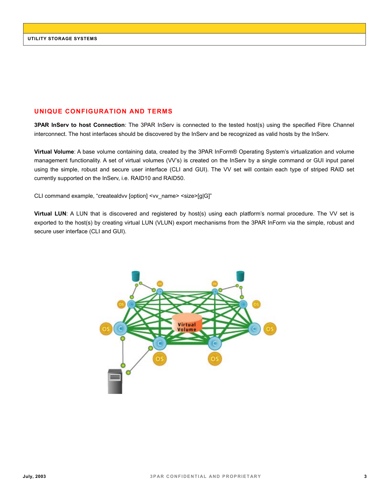### **UNIQUE CONFIGURATION AND TERMS**

**3PAR InServ to host Connection**: The 3PAR InServ is connected to the tested host(s) using the specified Fibre Channel interconnect. The host interfaces should be discovered by the InServ and be recognized as valid hosts by the InServ.

**Virtual Volume**: A base volume containing data, created by the 3PAR InForm® Operating System's virtualization and volume management functionality. A set of virtual volumes (VV's) is created on the InServ by a single command or GUI input panel using the simple, robust and secure user interface (CLI and GUI). The VV set will contain each type of striped RAID set currently supported on the InServ, i.e. RAID10 and RAID50.

CLI command example, "createaldvv [option] <vv\_name> <size>[g|G]"

**Virtual LUN**: A LUN that is discovered and registered by host(s) using each platform's normal procedure. The VV set is exported to the host(s) by creating virtual LUN (VLUN) export mechanisms from the 3PAR InForm via the simple, robust and secure user interface (CLI and GUI).

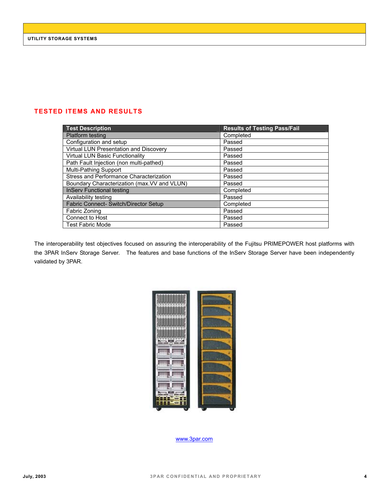## **TESTED ITEMS AND RESULTS**

| <b>Test Description</b>                      | <b>Results of Testing Pass/Fail</b> |
|----------------------------------------------|-------------------------------------|
| Platform testing                             | Completed                           |
| Configuration and setup                      | Passed                              |
| Virtual LUN Presentation and Discovery       | Passed                              |
| <b>Virtual LUN Basic Functionality</b>       | Passed                              |
| Path Fault Injection (non multi-pathed)      | Passed                              |
| Multi-Pathing Support                        | Passed                              |
| Stress and Performance Characterization      | Passed                              |
| Boundary Characterization (max. VV and VLUN) | Passed                              |
| <b>InServ Functional testing</b>             | Completed                           |
| Availability testing                         | Passed                              |
| Fabric Connect- Switch/Director Setup        | Completed                           |
| Fabric Zoning                                | Passed                              |
| Connect to Host                              | Passed                              |
| <b>Test Fabric Mode</b>                      | Passed                              |

The interoperability test objectives focused on assuring the interoperability of the Fujitsu PRIMEPOWER host platforms with the 3PAR InServ Storage Server. The features and base functions of the InServ Storage Server have been independently validated by 3PAR.



www.3par.com